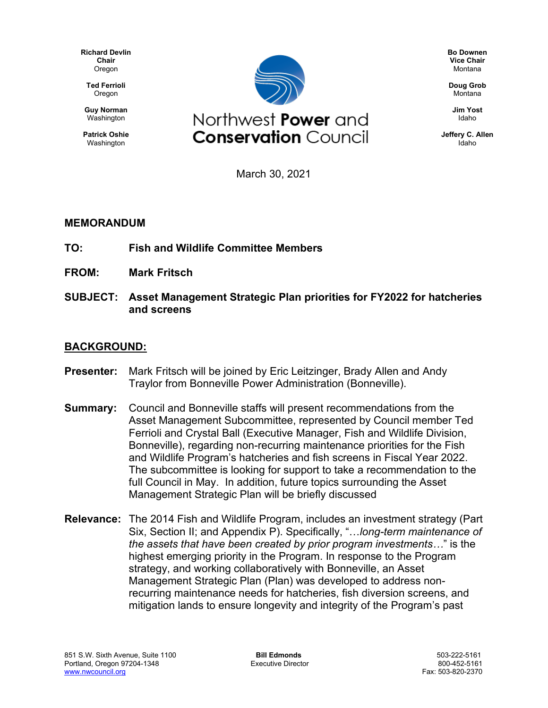**Richard Devlin Chair Oregon** 

**Ted Ferrioli** Oregon

**Guy Norman** Washington

**Patrick Oshie** Washington



**Bo Downen Vice Chair** Montana

**Doug Grob** Montana

> **Jim Yost** Idaho

**Jeffery C. Allen** Idaho

March 30, 2021

#### **MEMORANDUM**

- **TO: Fish and Wildlife Committee Members**
- **FROM: Mark Fritsch**
- **SUBJECT: Asset Management Strategic Plan priorities for FY2022 for hatcheries and screens**

#### **BACKGROUND:**

- **Presenter:** Mark Fritsch will be joined by Eric Leitzinger, Brady Allen and Andy Traylor from Bonneville Power Administration (Bonneville).
- **Summary:** Council and Bonneville staffs will present recommendations from the Asset Management Subcommittee, represented by Council member Ted Ferrioli and Crystal Ball (Executive Manager, Fish and Wildlife Division, Bonneville), regarding non-recurring maintenance priorities for the Fish and Wildlife Program's hatcheries and fish screens in Fiscal Year 2022. The subcommittee is looking for support to take a recommendation to the full Council in May. In addition, future topics surrounding the Asset Management Strategic Plan will be briefly discussed
- **Relevance:** The 2014 Fish and Wildlife Program, includes an investment strategy (Part Six, Section II; and Appendix P). Specifically, "…*long-term maintenance of the assets that have been created by prior program investments…*" is the highest emerging priority in the Program. In response to the Program strategy, and working collaboratively with Bonneville, an Asset Management Strategic Plan (Plan) was developed to address nonrecurring maintenance needs for hatcheries, fish diversion screens, and mitigation lands to ensure longevity and integrity of the Program's past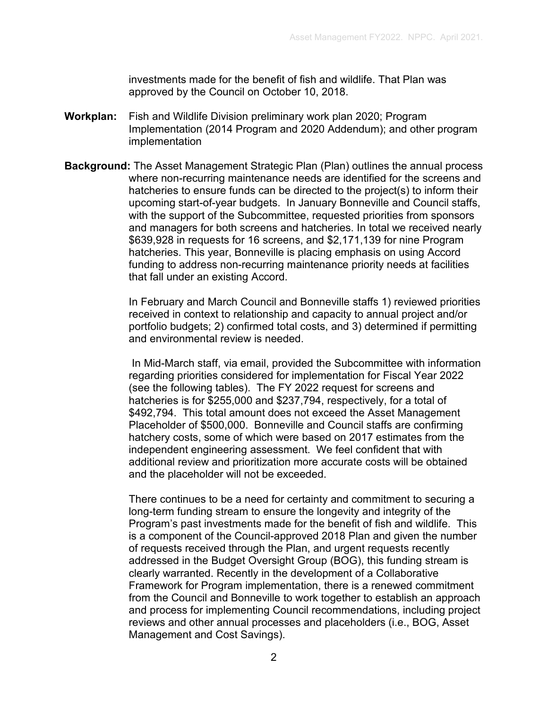investments made for the benefit of fish and wildlife. That Plan was approved by the Council on October 10, 2018.

- **Workplan:** Fish and Wildlife Division preliminary work plan 2020; Program Implementation (2014 Program and 2020 Addendum); and other program implementation
- **Background:** The Asset Management Strategic Plan (Plan) outlines the annual process where non-recurring maintenance needs are identified for the screens and hatcheries to ensure funds can be directed to the project(s) to inform their upcoming start-of-year budgets. In January Bonneville and Council staffs, with the support of the Subcommittee, requested priorities from sponsors and managers for both screens and hatcheries. In total we received nearly \$639,928 in requests for 16 screens, and \$2,171,139 for nine Program hatcheries. This year, Bonneville is placing emphasis on using Accord funding to address non-recurring maintenance priority needs at facilities that fall under an existing Accord.

In February and March Council and Bonneville staffs 1) reviewed priorities received in context to relationship and capacity to annual project and/or portfolio budgets; 2) confirmed total costs, and 3) determined if permitting and environmental review is needed.

In Mid-March staff, via email, provided the Subcommittee with information regarding priorities considered for implementation for Fiscal Year 2022 (see the following tables). The FY 2022 request for screens and hatcheries is for \$255,000 and \$237,794, respectively, for a total of \$492,794. This total amount does not exceed the Asset Management Placeholder of \$500,000. Bonneville and Council staffs are confirming hatchery costs, some of which were based on 2017 estimates from the independent engineering assessment. We feel confident that with additional review and prioritization more accurate costs will be obtained and the placeholder will not be exceeded.

There continues to be a need for certainty and commitment to securing a long-term funding stream to ensure the longevity and integrity of the Program's past investments made for the benefit of fish and wildlife. This is a component of the Council-approved 2018 Plan and given the number of requests received through the Plan, and urgent requests recently addressed in the Budget Oversight Group (BOG), this funding stream is clearly warranted. Recently in the development of a Collaborative Framework for Program implementation, there is a renewed commitment from the Council and Bonneville to work together to establish an approach and process for implementing Council recommendations, including project reviews and other annual processes and placeholders (i.e., BOG, Asset Management and Cost Savings).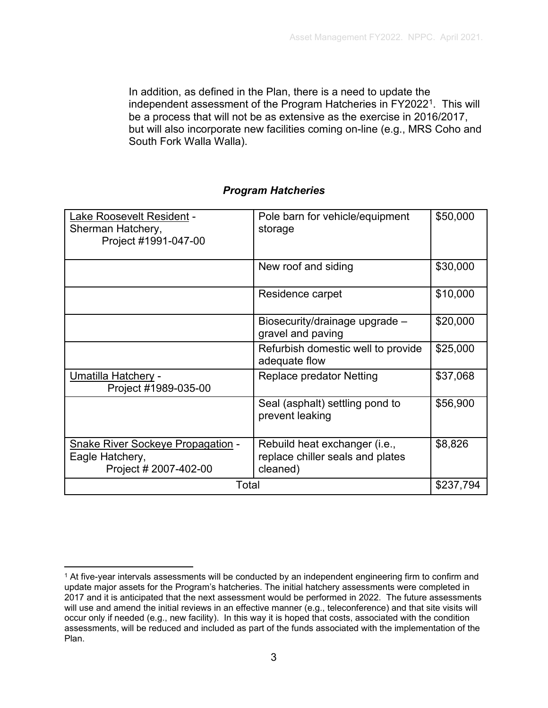In addition, as defined in the Plan, there is a need to update the independent assessment of the Program Hatcheries in FY2022<sup>1</sup>. This will be a process that will not be as extensive as the exercise in 2016/2017, but will also incorporate new facilities coming on-line (e.g., MRS Coho and South Fork Walla Walla).

#### *Program Hatcheries*

| Lake Roosevelt Resident -<br>Sherman Hatchery,<br>Project #1991-047-00               | Pole barn for vehicle/equipment<br>storage                                    | \$50,000  |
|--------------------------------------------------------------------------------------|-------------------------------------------------------------------------------|-----------|
|                                                                                      | New roof and siding                                                           | \$30,000  |
|                                                                                      | Residence carpet                                                              | \$10,000  |
|                                                                                      | Biosecurity/drainage upgrade -<br>gravel and paving                           | \$20,000  |
|                                                                                      | Refurbish domestic well to provide<br>adequate flow                           | \$25,000  |
| Umatilla Hatchery -<br>Project #1989-035-00                                          | Replace predator Netting                                                      | \$37,068  |
|                                                                                      | Seal (asphalt) settling pond to<br>prevent leaking                            | \$56,900  |
| <b>Snake River Sockeye Propagation -</b><br>Eagle Hatchery,<br>Project # 2007-402-00 | Rebuild heat exchanger (i.e.,<br>replace chiller seals and plates<br>cleaned) | \$8,826   |
| Total                                                                                |                                                                               | \$237,794 |

<span id="page-2-0"></span><sup>1</sup> At five-year intervals assessments will be conducted by an independent engineering firm to confirm and update major assets for the Program's hatcheries. The initial hatchery assessments were completed in 2017 and it is anticipated that the next assessment would be performed in 2022. The future assessments will use and amend the initial reviews in an effective manner (e.g., teleconference) and that site visits will occur only if needed (e.g., new facility). In this way it is hoped that costs, associated with the condition assessments, will be reduced and included as part of the funds associated with the implementation of the Plan.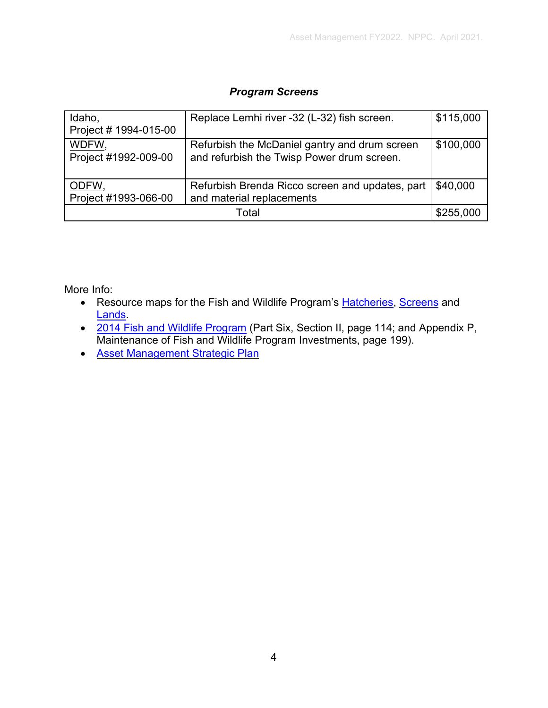#### *Program Screens*

| Idaho,<br>Project # 1994-015-00 | Replace Lemhi river -32 (L-32) fish screen.                                                 | \$115,000 |
|---------------------------------|---------------------------------------------------------------------------------------------|-----------|
| WDFW,<br>Project #1992-009-00   | Refurbish the McDaniel gantry and drum screen<br>and refurbish the Twisp Power drum screen. | \$100,000 |
| ODFW,<br>Project #1993-066-00   | Refurbish Brenda Ricco screen and updates, part<br>and material replacements                | \$40,000  |
| Total                           |                                                                                             | \$255,000 |

More Info:

- Resource maps for the Fish and Wildlife Program's [Hatcheries,](https://app.nwcouncil.org/ext/maps/APPrograms/) [Screens](https://app.nwcouncil.org/ext/maps/FSPrograms/) and **Lands**
- [2014 Fish and Wildlife Program](https://www.nwcouncil.org/fw/program/2014-12/program/)</u> (Part Six, Section II, page 114; and Appendix P, Maintenance of Fish and Wildlife Program Investments, page 199).
- [Asset Management Strategic Plan](https://nwcouncil.box.com/s/tv8ct47vzz58v8smuuzi53z7u5fanx9l)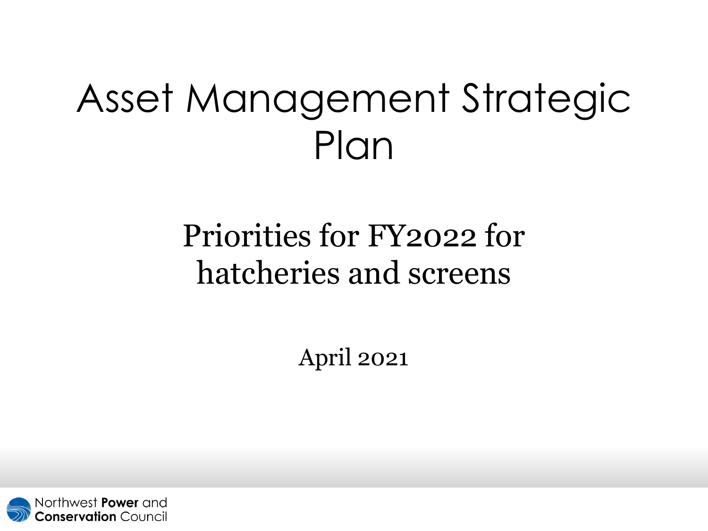# Asset Management Strategic Plan

### Priorities for FY2022 for hatcheries and screens

April 2021

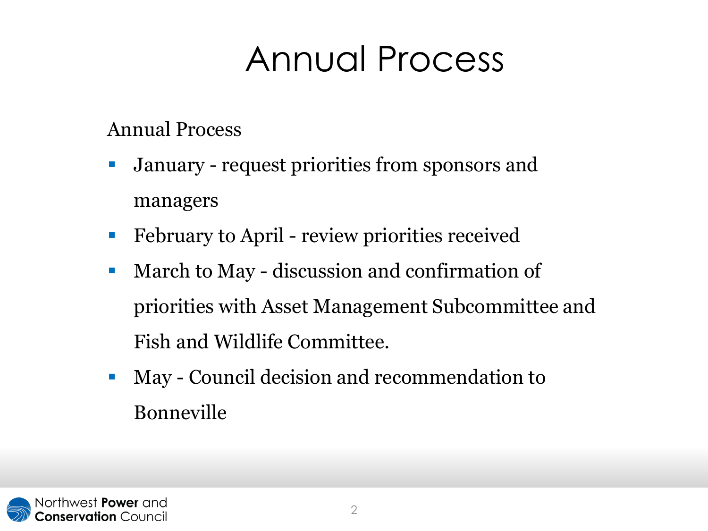## Annual Process

### Annual Process

- January request priorities from sponsors and managers
- **February to April review priorities received**
- **March to May discussion and confirmation of** priorities with Asset Management Subcommittee and Fish and Wildlife Committee.
- **May Council decision and recommendation to** Bonneville

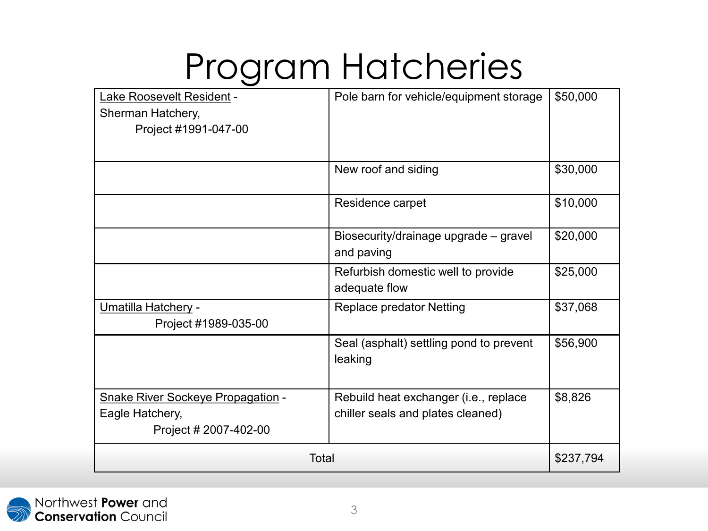## Program Hatcheries

| Lake Roosevelt Resident -<br>Sherman Hatchery, | Pole barn for vehicle/equipment storage            | \$50,000  |
|------------------------------------------------|----------------------------------------------------|-----------|
| Project #1991-047-00                           |                                                    |           |
|                                                |                                                    |           |
|                                                | New roof and siding                                | \$30,000  |
|                                                | Residence carpet                                   | \$10,000  |
|                                                | Biosecurity/drainage upgrade - gravel              | \$20,000  |
|                                                | and paving                                         |           |
|                                                | Refurbish domestic well to provide                 | \$25,000  |
|                                                | adequate flow                                      |           |
| Umatilla Hatchery -                            | <b>Replace predator Netting</b>                    | \$37,068  |
| Project #1989-035-00                           |                                                    |           |
|                                                | Seal (asphalt) settling pond to prevent<br>leaking | \$56,900  |
|                                                |                                                    |           |
| <b>Snake River Sockeye Propagation -</b>       | Rebuild heat exchanger (i.e., replace              | \$8,826   |
| Eagle Hatchery,                                | chiller seals and plates cleaned)                  |           |
| Project # 2007-402-00                          |                                                    |           |
| Total                                          |                                                    | \$237,794 |

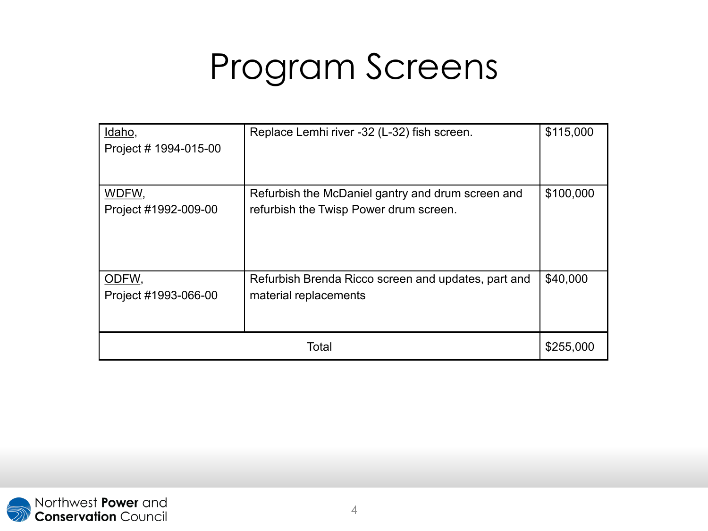## Program Screens

| Idaho,<br>Project # 1994-015-00 | Replace Lemhi river -32 (L-32) fish screen.                                                 | \$115,000 |
|---------------------------------|---------------------------------------------------------------------------------------------|-----------|
| WDFW,<br>Project #1992-009-00   | Refurbish the McDaniel gantry and drum screen and<br>refurbish the Twisp Power drum screen. | \$100,000 |
| ODFW,<br>Project #1993-066-00   | Refurbish Brenda Ricco screen and updates, part and<br>material replacements                | \$40,000  |
| Total                           |                                                                                             | \$255,000 |